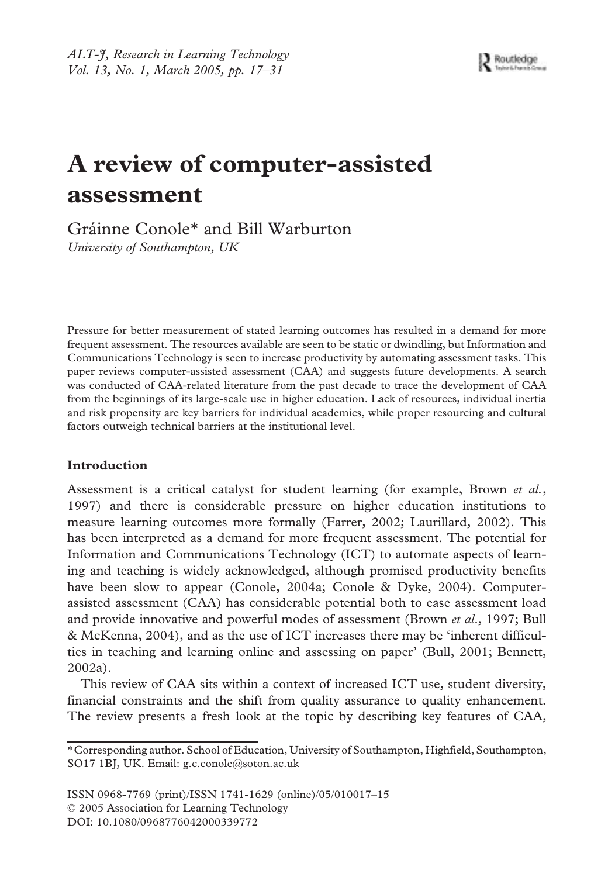# **A review of computer-assisted assessment**

Gráinne Conole\* and Bill Warburton *University of Southampton, UK*

Pressure for better measurement of stated learning outcomes has resulted in a demand for more frequent assessment. The resources available are seen to be static or dwindling, but Information and Communications Technology is seen to increase productivity by automating assessment tasks. This paper reviews computer-assisted assessment (CAA) and suggests future developments. A search was conducted of CAA-related literature from the past decade to trace the development of CAA from the beginnings of its large-scale use in higher education. Lack of resources, individual inertia and risk propensity are key barriers for individual academics, while proper resourcing and cultural factors outweigh technical barriers at the institutional level.

## **Introduction**

Assessment is a critical catalyst for student learning (for example, Brown *et al.*, 1997) and there is considerable pressure on higher education institutions to measure learning outcomes more formally (Farrer, 2002; Laurillard, 2002). This has been interpreted as a demand for more frequent assessment. The potential for Information and Communications Technology (ICT) to automate aspects of learning and teaching is widely acknowledged, although promised productivity benefits have been slow to appear (Conole, 2004a; Conole & Dyke, 2004). Computerassisted assessment (CAA) has considerable potential both to ease assessment load and provide innovative and powerful modes of assessment (Brown *et al*., 1997; Bull & McKenna, 2004), and as the use of ICT increases there may be 'inherent difficulties in teaching and learning online and assessing on paper' (Bull, 2001; Bennett, 2002a).

This review of CAA sits within a context of increased ICT use, student diversity, financial constraints and the shift from quality assurance to quality enhancement. The review presents a fresh look at the topic by describing key features of CAA,

<sup>\*</sup>Corresponding author. School of Education, University of Southampton, Highfield, Southampton, SO17 1BJ, UK. Email: g.c.conole@soton.ac.uk

ISSN 0968-7769 (print)/ISSN 1741-1629 (online)/05/010017–15 © 2005 Association for Learning Technology DOI: 10.1080/0968776042000339772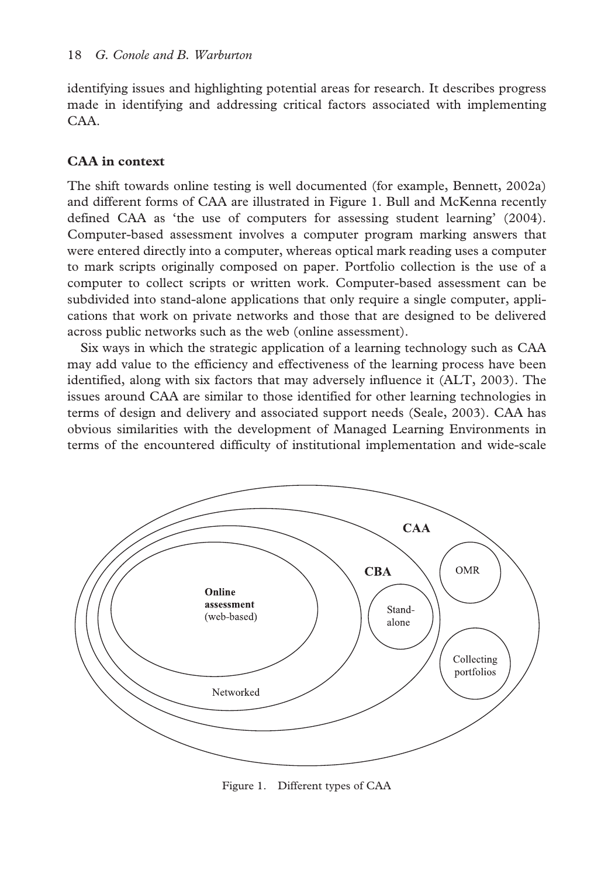identifying issues and highlighting potential areas for research. It describes progress made in identifying and addressing critical factors associated with implementing CAA.

# **CAA in context**

The shift towards online testing is well documented (for example, Bennett, 2002a) and different forms of CAA are illustrated in Figure 1. Bull and McKenna recently defined CAA as 'the use of computers for assessing student learning' (2004). Computer-based assessment involves a computer program marking answers that were entered directly into a computer, whereas optical mark reading uses a computer to mark scripts originally composed on paper. Portfolio collection is the use of a computer to collect scripts or written work. Computer-based assessment can be subdivided into stand-alone applications that only require a single computer, applications that work on private networks and those that are designed to be delivered across public networks such as the web (online assessment).

Six ways in which the strategic application of a learning technology such as CAA may add value to the efficiency and effectiveness of the learning process have been identified, along with six factors that may adversely influence it (ALT, 2003). The issues around CAA are similar to those identified for other learning technologies in terms of design and delivery and associated support needs (Seale, 2003). CAA has obvious similarities with the development of Managed Learning Environments in terms of the encountered difficulty of institutional implementation and wide-scale



Figure 1. Different types of CAA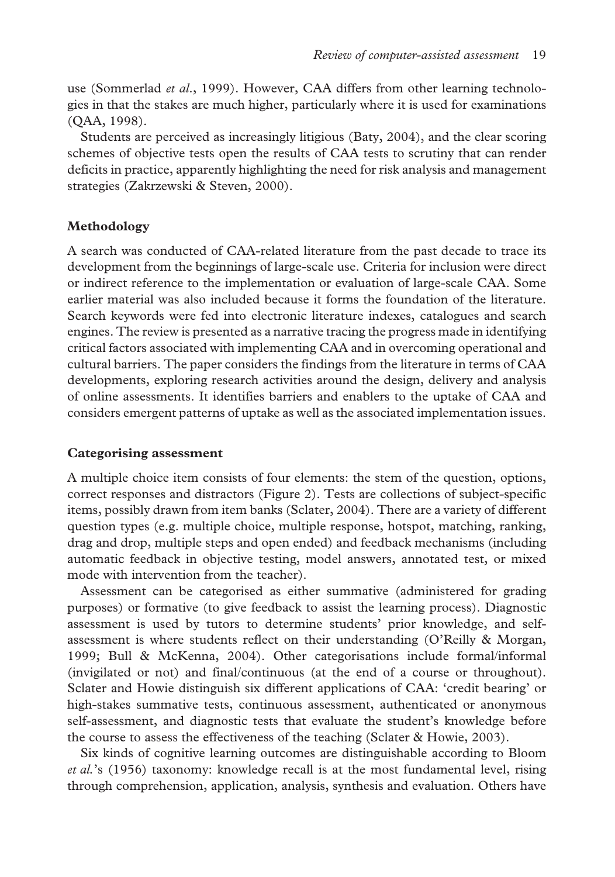use (Sommerlad *et al*., 1999). However, CAA differs from other learning technologies in that the stakes are much higher, particularly where it is used for examinations (QAA, 1998).

Students are perceived as increasingly litigious (Baty, 2004), and the clear scoring schemes of objective tests open the results of CAA tests to scrutiny that can render deficits in practice, apparently highlighting the need for risk analysis and management strategies (Zakrzewski & Steven, 2000).

## **Methodology**

A search was conducted of CAA-related literature from the past decade to trace its development from the beginnings of large-scale use. Criteria for inclusion were direct or indirect reference to the implementation or evaluation of large-scale CAA. Some earlier material was also included because it forms the foundation of the literature. Search keywords were fed into electronic literature indexes, catalogues and search engines. The review is presented as a narrative tracing the progress made in identifying critical factors associated with implementing CAA and in overcoming operational and cultural barriers. The paper considers the findings from the literature in terms of CAA developments, exploring research activities around the design, delivery and analysis of online assessments. It identifies barriers and enablers to the uptake of CAA and considers emergent patterns of uptake as well as the associated implementation issues.

#### **Categorising assessment**

A multiple choice item consists of four elements: the stem of the question, options, correct responses and distractors (Figure 2). Tests are collections of subject-specific items, possibly drawn from item banks (Sclater, 2004). There are a variety of different question types (e.g. multiple choice, multiple response, hotspot, matching, ranking, drag and drop, multiple steps and open ended) and feedback mechanisms (including automatic feedback in objective testing, model answers, annotated test, or mixed mode with intervention from the teacher).

Assessment can be categorised as either summative (administered for grading purposes) or formative (to give feedback to assist the learning process). Diagnostic assessment is used by tutors to determine students' prior knowledge, and selfassessment is where students reflect on their understanding (O'Reilly & Morgan, 1999; Bull & McKenna, 2004). Other categorisations include formal/informal (invigilated or not) and final/continuous (at the end of a course or throughout). Sclater and Howie distinguish six different applications of CAA: 'credit bearing' or high-stakes summative tests, continuous assessment, authenticated or anonymous self-assessment, and diagnostic tests that evaluate the student's knowledge before the course to assess the effectiveness of the teaching (Sclater & Howie, 2003).

Six kinds of cognitive learning outcomes are distinguishable according to Bloom *et al.*'s (1956) taxonomy: knowledge recall is at the most fundamental level, rising through comprehension, application, analysis, synthesis and evaluation. Others have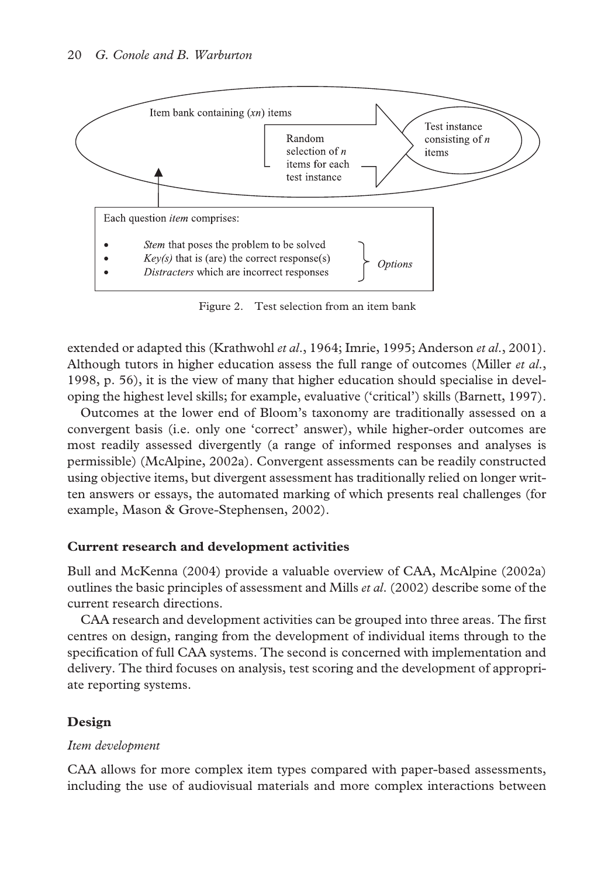

Figure 2. Test selection from an item bank

extended or adapted this (Krathwohl *et al*., 1964; Imrie, 1995; Anderson *et al*., 2001). Although tutors in higher education assess the full range of outcomes (Miller *et al*., 1998, p. 56), it is the view of many that higher education should specialise in developing the highest level skills; for example, evaluative ('critical') skills (Barnett, 1997).

Outcomes at the lower end of Bloom's taxonomy are traditionally assessed on a convergent basis (i.e. only one 'correct' answer), while higher-order outcomes are most readily assessed divergently (a range of informed responses and analyses is permissible) (McAlpine, 2002a). Convergent assessments can be readily constructed using objective items, but divergent assessment has traditionally relied on longer written answers or essays, the automated marking of which presents real challenges (for example, Mason & Grove-Stephensen, 2002).

#### **Current research and development activities**

Bull and McKenna (2004) provide a valuable overview of CAA, McAlpine (2002a) outlines the basic principles of assessment and Mills *et al*. (2002) describe some of the current research directions.

CAA research and development activities can be grouped into three areas. The first centres on design, ranging from the development of individual items through to the specification of full CAA systems. The second is concerned with implementation and delivery. The third focuses on analysis, test scoring and the development of appropriate reporting systems.

## **Design**

#### *Item development*

CAA allows for more complex item types compared with paper-based assessments, including the use of audiovisual materials and more complex interactions between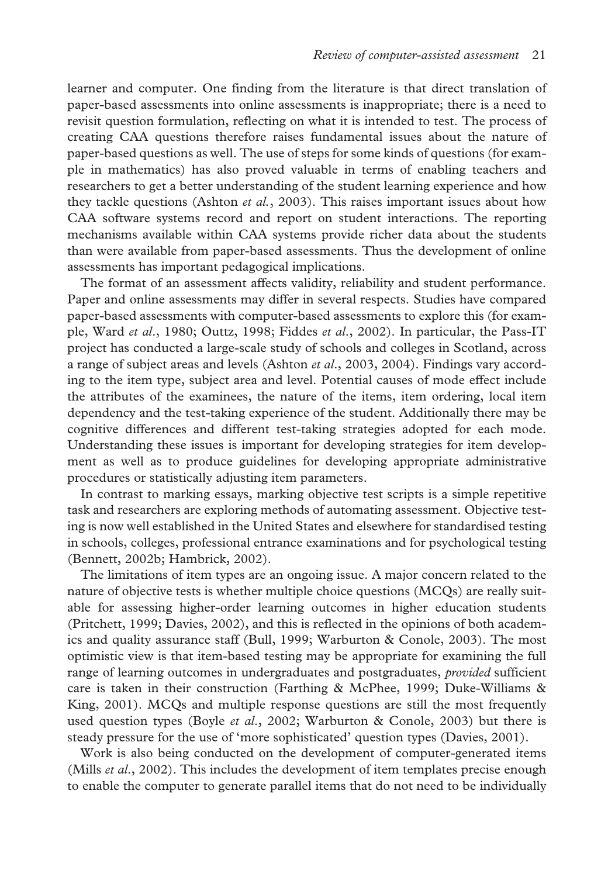learner and computer. One finding from the literature is that direct translation of paper-based assessments into online assessments is inappropriate; there is a need to revisit question formulation, reflecting on what it is intended to test. The process of creating CAA questions therefore raises fundamental issues about the nature of paper-based questions as well. The use of steps for some kinds of questions (for example in mathematics) has also proved valuable in terms of enabling teachers and researchers to get a better understanding of the student learning experience and how they tackle questions (Ashton *et al.*, 2003). This raises important issues about how CAA software systems record and report on student interactions. The reporting mechanisms available within CAA systems provide richer data about the students than were available from paper-based assessments. Thus the development of online assessments has important pedagogical implications.

The format of an assessment affects validity, reliability and student performance. Paper and online assessments may differ in several respects. Studies have compared paper-based assessments with computer-based assessments to explore this (for example, Ward *et al*., 1980; Outtz, 1998; Fiddes *et al*., 2002). In particular, the Pass-IT project has conducted a large-scale study of schools and colleges in Scotland, across a range of subject areas and levels (Ashton *et al*., 2003, 2004). Findings vary according to the item type, subject area and level. Potential causes of mode effect include the attributes of the examinees, the nature of the items, item ordering, local item dependency and the test-taking experience of the student. Additionally there may be cognitive differences and different test-taking strategies adopted for each mode. Understanding these issues is important for developing strategies for item development as well as to produce guidelines for developing appropriate administrative procedures or statistically adjusting item parameters.

In contrast to marking essays, marking objective test scripts is a simple repetitive task and researchers are exploring methods of automating assessment. Objective testing is now well established in the United States and elsewhere for standardised testing in schools, colleges, professional entrance examinations and for psychological testing (Bennett, 2002b; Hambrick, 2002).

The limitations of item types are an ongoing issue. A major concern related to the nature of objective tests is whether multiple choice questions (MCQs) are really suitable for assessing higher-order learning outcomes in higher education students (Pritchett, 1999; Davies, 2002), and this is reflected in the opinions of both academics and quality assurance staff (Bull, 1999; Warburton & Conole, 2003). The most optimistic view is that item-based testing may be appropriate for examining the full range of learning outcomes in undergraduates and postgraduates, *provided* sufficient care is taken in their construction (Farthing & McPhee, 1999; Duke-Williams & King, 2001). MCQs and multiple response questions are still the most frequently used question types (Boyle *et al*., 2002; Warburton & Conole, 2003) but there is steady pressure for the use of 'more sophisticated' question types (Davies, 2001).

Work is also being conducted on the development of computer-generated items (Mills *et al*., 2002). This includes the development of item templates precise enough to enable the computer to generate parallel items that do not need to be individually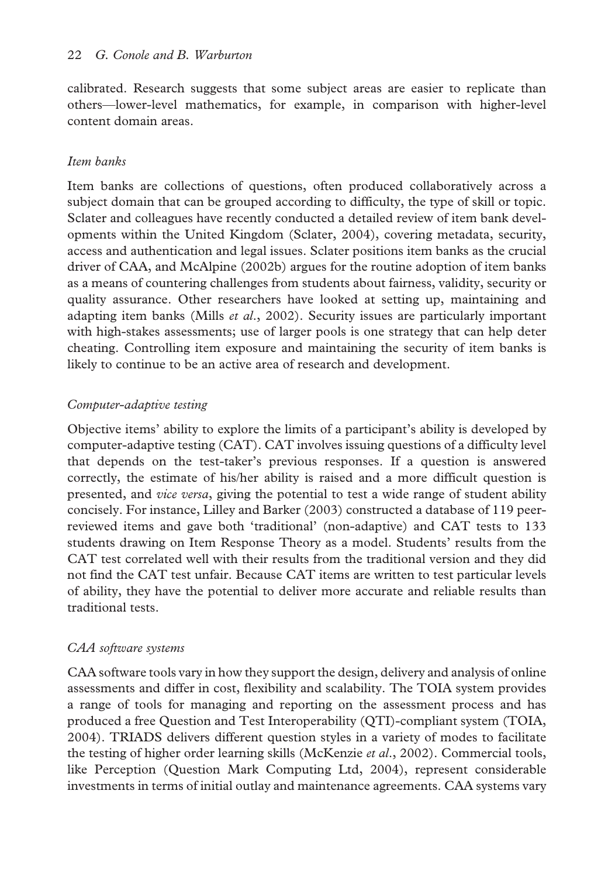calibrated. Research suggests that some subject areas are easier to replicate than others—lower-level mathematics, for example, in comparison with higher-level content domain areas.

# *Item banks*

Item banks are collections of questions, often produced collaboratively across a subject domain that can be grouped according to difficulty, the type of skill or topic. Sclater and colleagues have recently conducted a detailed review of item bank developments within the United Kingdom (Sclater, 2004), covering metadata, security, access and authentication and legal issues. Sclater positions item banks as the crucial driver of CAA, and McAlpine (2002b) argues for the routine adoption of item banks as a means of countering challenges from students about fairness, validity, security or quality assurance. Other researchers have looked at setting up, maintaining and adapting item banks (Mills *et al*., 2002). Security issues are particularly important with high-stakes assessments; use of larger pools is one strategy that can help deter cheating. Controlling item exposure and maintaining the security of item banks is likely to continue to be an active area of research and development.

# *Computer-adaptive testing*

Objective items' ability to explore the limits of a participant's ability is developed by computer-adaptive testing (CAT). CAT involves issuing questions of a difficulty level that depends on the test-taker's previous responses. If a question is answered correctly, the estimate of his/her ability is raised and a more difficult question is presented, and *vice versa*, giving the potential to test a wide range of student ability concisely. For instance, Lilley and Barker (2003) constructed a database of 119 peerreviewed items and gave both 'traditional' (non-adaptive) and CAT tests to 133 students drawing on Item Response Theory as a model. Students' results from the CAT test correlated well with their results from the traditional version and they did not find the CAT test unfair. Because CAT items are written to test particular levels of ability, they have the potential to deliver more accurate and reliable results than traditional tests.

# *CAA software systems*

CAA software tools vary in how they support the design, delivery and analysis of online assessments and differ in cost, flexibility and scalability. The TOIA system provides a range of tools for managing and reporting on the assessment process and has produced a free Question and Test Interoperability (QTI)-compliant system (TOIA, 2004). TRIADS delivers different question styles in a variety of modes to facilitate the testing of higher order learning skills (McKenzie *et al*., 2002). Commercial tools, like Perception (Question Mark Computing Ltd, 2004), represent considerable investments in terms of initial outlay and maintenance agreements. CAA systems vary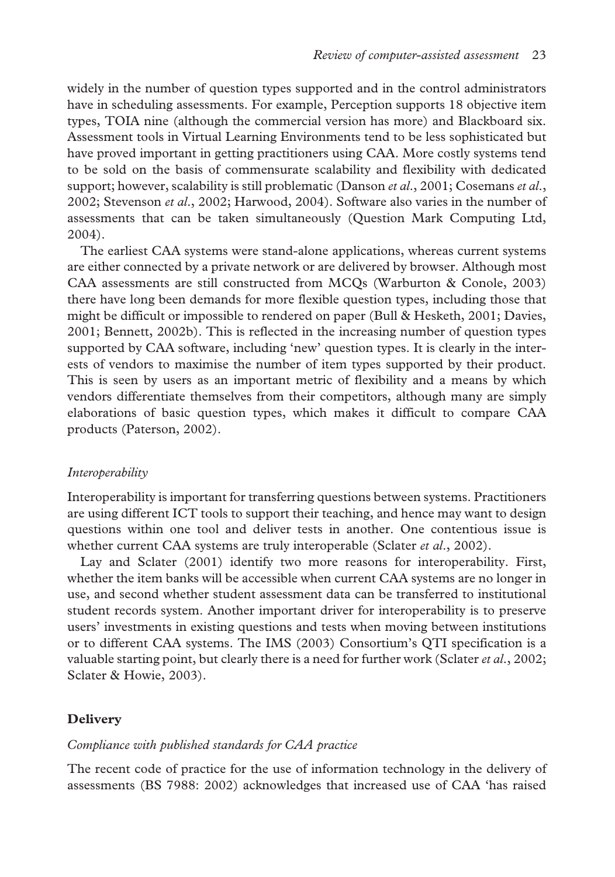widely in the number of question types supported and in the control administrators have in scheduling assessments. For example, Perception supports 18 objective item types, TOIA nine (although the commercial version has more) and Blackboard six. Assessment tools in Virtual Learning Environments tend to be less sophisticated but have proved important in getting practitioners using CAA. More costly systems tend to be sold on the basis of commensurate scalability and flexibility with dedicated support; however, scalability is still problematic (Danson *et al*., 2001; Cosemans *et al*., 2002; Stevenson *et al*., 2002; Harwood, 2004). Software also varies in the number of assessments that can be taken simultaneously (Question Mark Computing Ltd, 2004).

The earliest CAA systems were stand-alone applications, whereas current systems are either connected by a private network or are delivered by browser. Although most CAA assessments are still constructed from MCQs (Warburton & Conole, 2003) there have long been demands for more flexible question types, including those that might be difficult or impossible to rendered on paper (Bull & Hesketh, 2001; Davies, 2001; Bennett, 2002b). This is reflected in the increasing number of question types supported by CAA software, including 'new' question types. It is clearly in the interests of vendors to maximise the number of item types supported by their product. This is seen by users as an important metric of flexibility and a means by which vendors differentiate themselves from their competitors, although many are simply elaborations of basic question types, which makes it difficult to compare CAA products (Paterson, 2002).

#### *Interoperability*

Interoperability is important for transferring questions between systems. Practitioners are using different ICT tools to support their teaching, and hence may want to design questions within one tool and deliver tests in another. One contentious issue is whether current CAA systems are truly interoperable (Sclater *et al*., 2002).

Lay and Sclater (2001) identify two more reasons for interoperability. First, whether the item banks will be accessible when current CAA systems are no longer in use, and second whether student assessment data can be transferred to institutional student records system. Another important driver for interoperability is to preserve users' investments in existing questions and tests when moving between institutions or to different CAA systems. The IMS (2003) Consortium's QTI specification is a valuable starting point, but clearly there is a need for further work (Sclater *et al*., 2002; Sclater & Howie, 2003).

#### **Delivery**

#### *Compliance with published standards for CAA practice*

The recent code of practice for the use of information technology in the delivery of assessments (BS 7988: 2002) acknowledges that increased use of CAA 'has raised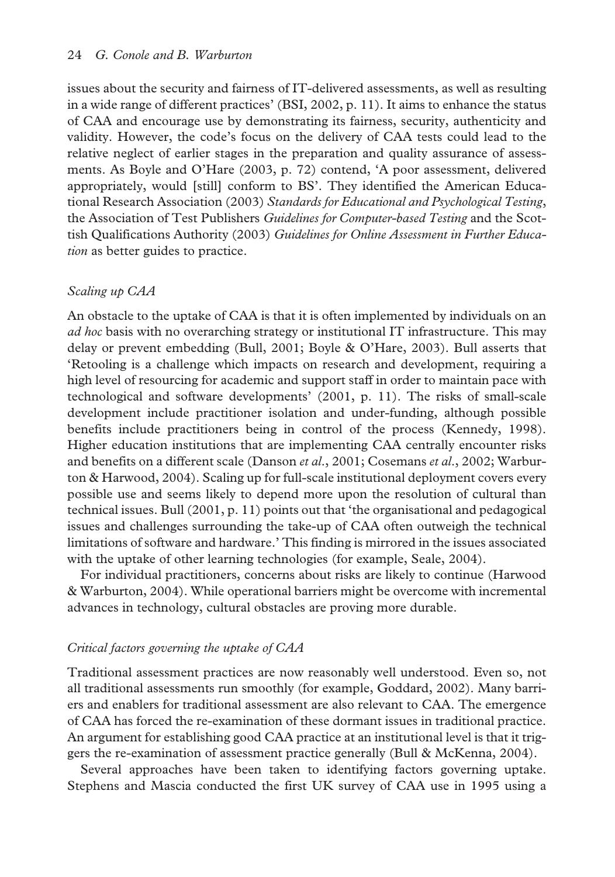issues about the security and fairness of IT-delivered assessments, as well as resulting in a wide range of different practices' (BSI, 2002, p. 11). It aims to enhance the status of CAA and encourage use by demonstrating its fairness, security, authenticity and validity. However, the code's focus on the delivery of CAA tests could lead to the relative neglect of earlier stages in the preparation and quality assurance of assessments. As Boyle and O'Hare (2003, p. 72) contend, 'A poor assessment, delivered appropriately, would [still] conform to BS'. They identified the American Educational Research Association (2003) *Standards for Educational and Psychological Testing*, the Association of Test Publishers *Guidelines for Computer-based Testing* and the Scottish Qualifications Authority (2003) *Guidelines for Online Assessment in Further Education* as better guides to practice.

#### *Scaling up CAA*

An obstacle to the uptake of CAA is that it is often implemented by individuals on an *ad hoc* basis with no overarching strategy or institutional IT infrastructure. This may delay or prevent embedding (Bull, 2001; Boyle & O'Hare, 2003). Bull asserts that 'Retooling is a challenge which impacts on research and development, requiring a high level of resourcing for academic and support staff in order to maintain pace with technological and software developments' (2001, p. 11). The risks of small-scale development include practitioner isolation and under-funding, although possible benefits include practitioners being in control of the process (Kennedy, 1998). Higher education institutions that are implementing CAA centrally encounter risks and benefits on a different scale (Danson *et al*., 2001; Cosemans *et al*., 2002; Warburton & Harwood, 2004). Scaling up for full-scale institutional deployment covers every possible use and seems likely to depend more upon the resolution of cultural than technical issues. Bull (2001, p. 11) points out that 'the organisational and pedagogical issues and challenges surrounding the take-up of CAA often outweigh the technical limitations of software and hardware.' This finding is mirrored in the issues associated with the uptake of other learning technologies (for example, Seale, 2004).

For individual practitioners, concerns about risks are likely to continue (Harwood & Warburton, 2004). While operational barriers might be overcome with incremental advances in technology, cultural obstacles are proving more durable.

#### *Critical factors governing the uptake of CAA*

Traditional assessment practices are now reasonably well understood. Even so, not all traditional assessments run smoothly (for example, Goddard, 2002). Many barriers and enablers for traditional assessment are also relevant to CAA. The emergence of CAA has forced the re-examination of these dormant issues in traditional practice. An argument for establishing good CAA practice at an institutional level is that it triggers the re-examination of assessment practice generally (Bull & McKenna, 2004).

Several approaches have been taken to identifying factors governing uptake. Stephens and Mascia conducted the first UK survey of CAA use in 1995 using a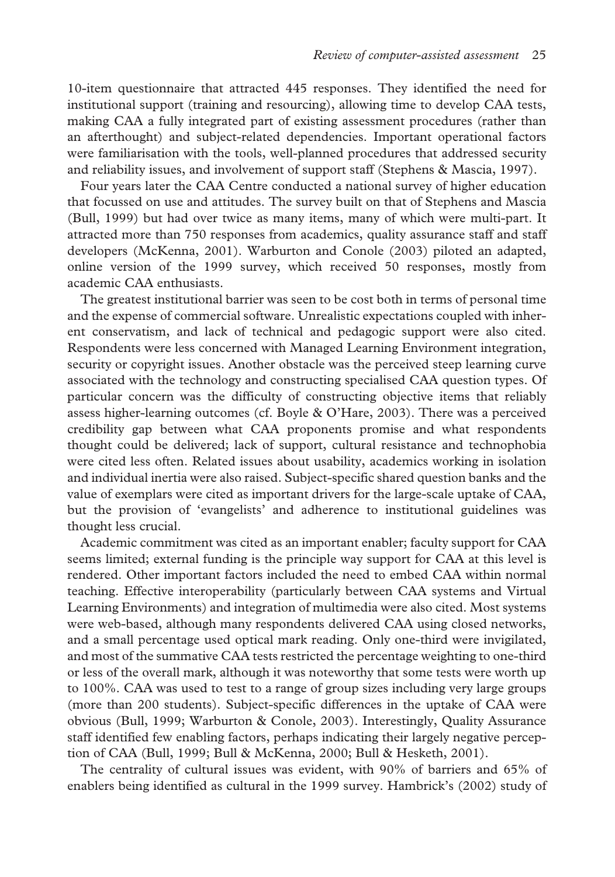10-item questionnaire that attracted 445 responses. They identified the need for institutional support (training and resourcing), allowing time to develop CAA tests, making CAA a fully integrated part of existing assessment procedures (rather than an afterthought) and subject-related dependencies. Important operational factors were familiarisation with the tools, well-planned procedures that addressed security and reliability issues, and involvement of support staff (Stephens & Mascia, 1997).

Four years later the CAA Centre conducted a national survey of higher education that focussed on use and attitudes. The survey built on that of Stephens and Mascia (Bull, 1999) but had over twice as many items, many of which were multi-part. It attracted more than 750 responses from academics, quality assurance staff and staff developers (McKenna, 2001). Warburton and Conole (2003) piloted an adapted, online version of the 1999 survey, which received 50 responses, mostly from academic CAA enthusiasts.

The greatest institutional barrier was seen to be cost both in terms of personal time and the expense of commercial software. Unrealistic expectations coupled with inherent conservatism, and lack of technical and pedagogic support were also cited. Respondents were less concerned with Managed Learning Environment integration, security or copyright issues. Another obstacle was the perceived steep learning curve associated with the technology and constructing specialised CAA question types. Of particular concern was the difficulty of constructing objective items that reliably assess higher-learning outcomes (cf. Boyle  $\& O'$ Hare, 2003). There was a perceived credibility gap between what CAA proponents promise and what respondents thought could be delivered; lack of support, cultural resistance and technophobia were cited less often. Related issues about usability, academics working in isolation and individual inertia were also raised. Subject-specific shared question banks and the value of exemplars were cited as important drivers for the large-scale uptake of CAA, but the provision of 'evangelists' and adherence to institutional guidelines was thought less crucial.

Academic commitment was cited as an important enabler; faculty support for CAA seems limited; external funding is the principle way support for CAA at this level is rendered. Other important factors included the need to embed CAA within normal teaching. Effective interoperability (particularly between CAA systems and Virtual Learning Environments) and integration of multimedia were also cited. Most systems were web-based, although many respondents delivered CAA using closed networks, and a small percentage used optical mark reading. Only one-third were invigilated, and most of the summative CAA tests restricted the percentage weighting to one-third or less of the overall mark, although it was noteworthy that some tests were worth up to 100%. CAA was used to test to a range of group sizes including very large groups (more than 200 students). Subject-specific differences in the uptake of CAA were obvious (Bull, 1999; Warburton & Conole, 2003). Interestingly, Quality Assurance staff identified few enabling factors, perhaps indicating their largely negative perception of CAA (Bull, 1999; Bull & McKenna, 2000; Bull & Hesketh, 2001).

The centrality of cultural issues was evident, with 90% of barriers and 65% of enablers being identified as cultural in the 1999 survey. Hambrick's (2002) study of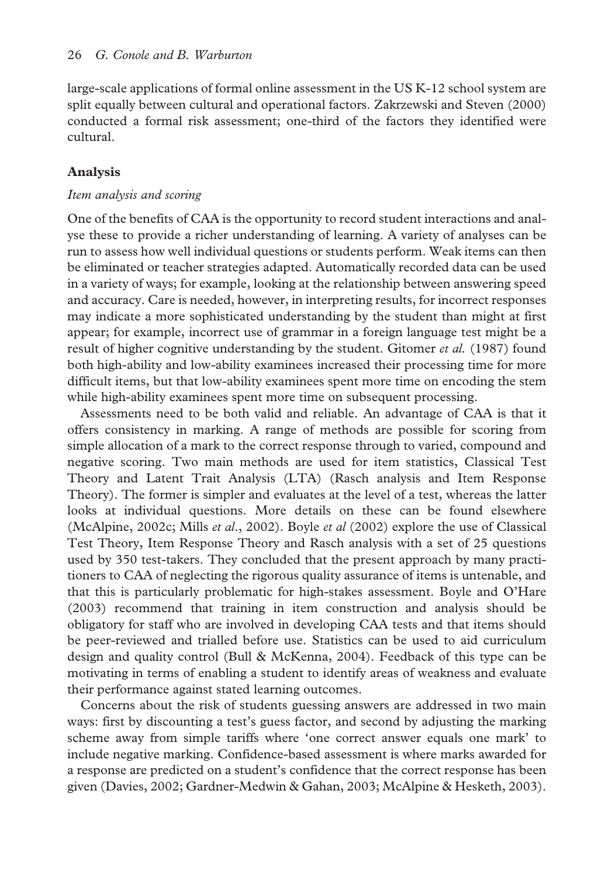large-scale applications of formal online assessment in the US K-12 school system are split equally between cultural and operational factors. Zakrzewski and Steven (2000) conducted a formal risk assessment; one-third of the factors they identified were cultural.

## **Analysis**

#### *Item analysis and scoring*

One of the benefits of CAA is the opportunity to record student interactions and analyse these to provide a richer understanding of learning. A variety of analyses can be run to assess how well individual questions or students perform. Weak items can then be eliminated or teacher strategies adapted. Automatically recorded data can be used in a variety of ways; for example, looking at the relationship between answering speed and accuracy. Care is needed, however, in interpreting results, for incorrect responses may indicate a more sophisticated understanding by the student than might at first appear; for example, incorrect use of grammar in a foreign language test might be a result of higher cognitive understanding by the student. Gitomer *et al.* (1987) found both high-ability and low-ability examinees increased their processing time for more difficult items, but that low-ability examinees spent more time on encoding the stem while high-ability examinees spent more time on subsequent processing.

Assessments need to be both valid and reliable. An advantage of CAA is that it offers consistency in marking. A range of methods are possible for scoring from simple allocation of a mark to the correct response through to varied, compound and negative scoring. Two main methods are used for item statistics, Classical Test Theory and Latent Trait Analysis (LTA) (Rasch analysis and Item Response Theory). The former is simpler and evaluates at the level of a test, whereas the latter looks at individual questions. More details on these can be found elsewhere (McAlpine, 2002c; Mills *et al*., 2002). Boyle *et al* (2002) explore the use of Classical Test Theory, Item Response Theory and Rasch analysis with a set of 25 questions used by 350 test-takers. They concluded that the present approach by many practitioners to CAA of neglecting the rigorous quality assurance of items is untenable, and that this is particularly problematic for high-stakes assessment. Boyle and O'Hare (2003) recommend that training in item construction and analysis should be obligatory for staff who are involved in developing CAA tests and that items should be peer-reviewed and trialled before use. Statistics can be used to aid curriculum design and quality control (Bull & McKenna, 2004). Feedback of this type can be motivating in terms of enabling a student to identify areas of weakness and evaluate their performance against stated learning outcomes.

Concerns about the risk of students guessing answers are addressed in two main ways: first by discounting a test's guess factor, and second by adjusting the marking scheme away from simple tariffs where 'one correct answer equals one mark' to include negative marking. Confidence-based assessment is where marks awarded for a response are predicted on a student's confidence that the correct response has been given (Davies, 2002; Gardner-Medwin & Gahan, 2003; McAlpine & Hesketh, 2003).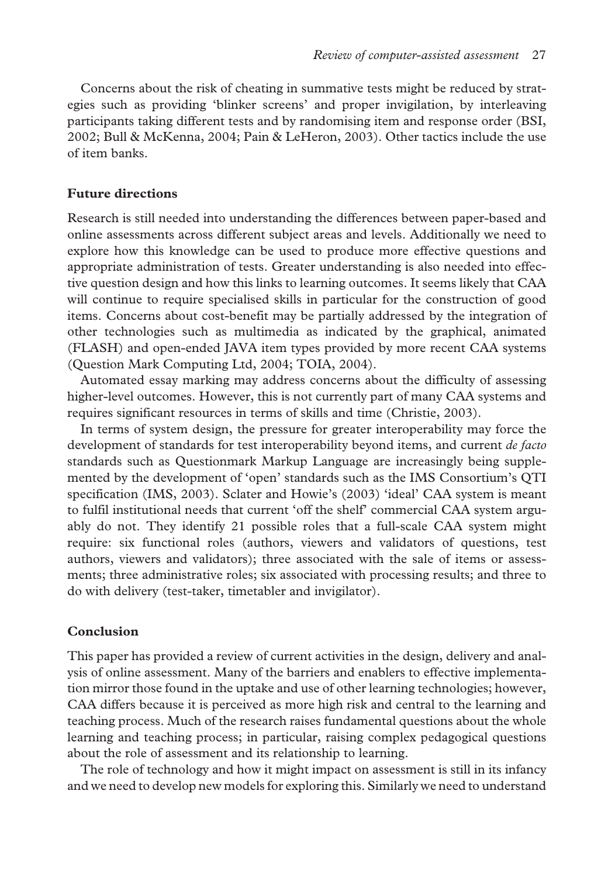Concerns about the risk of cheating in summative tests might be reduced by strategies such as providing 'blinker screens' and proper invigilation, by interleaving participants taking different tests and by randomising item and response order (BSI, 2002; Bull & McKenna, 2004; Pain & LeHeron, 2003). Other tactics include the use of item banks.

## **Future directions**

Research is still needed into understanding the differences between paper-based and online assessments across different subject areas and levels. Additionally we need to explore how this knowledge can be used to produce more effective questions and appropriate administration of tests. Greater understanding is also needed into effective question design and how this links to learning outcomes. It seems likely that CAA will continue to require specialised skills in particular for the construction of good items. Concerns about cost-benefit may be partially addressed by the integration of other technologies such as multimedia as indicated by the graphical, animated (FLASH) and open-ended JAVA item types provided by more recent CAA systems (Question Mark Computing Ltd, 2004; TOIA, 2004).

Automated essay marking may address concerns about the difficulty of assessing higher-level outcomes. However, this is not currently part of many CAA systems and requires significant resources in terms of skills and time (Christie, 2003).

In terms of system design, the pressure for greater interoperability may force the development of standards for test interoperability beyond items, and current *de facto* standards such as Questionmark Markup Language are increasingly being supplemented by the development of 'open' standards such as the IMS Consortium's QTI specification (IMS, 2003). Sclater and Howie's (2003) 'ideal' CAA system is meant to fulfil institutional needs that current 'off the shelf' commercial CAA system arguably do not. They identify 21 possible roles that a full-scale CAA system might require: six functional roles (authors, viewers and validators of questions, test authors, viewers and validators); three associated with the sale of items or assessments; three administrative roles; six associated with processing results; and three to do with delivery (test-taker, timetabler and invigilator).

#### **Conclusion**

This paper has provided a review of current activities in the design, delivery and analysis of online assessment. Many of the barriers and enablers to effective implementation mirror those found in the uptake and use of other learning technologies; however, CAA differs because it is perceived as more high risk and central to the learning and teaching process. Much of the research raises fundamental questions about the whole learning and teaching process; in particular, raising complex pedagogical questions about the role of assessment and its relationship to learning.

The role of technology and how it might impact on assessment is still in its infancy and we need to develop new models for exploring this. Similarly we need to understand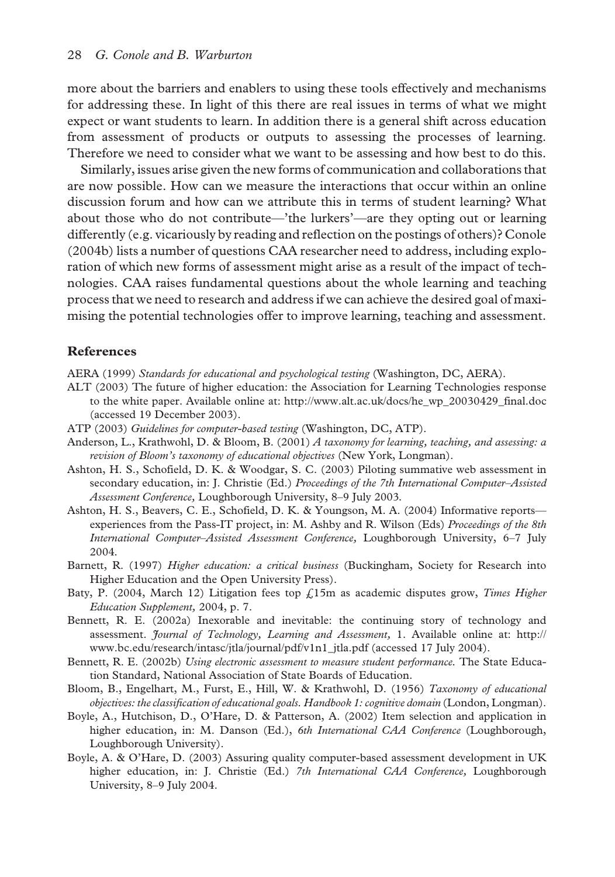more about the barriers and enablers to using these tools effectively and mechanisms for addressing these. In light of this there are real issues in terms of what we might expect or want students to learn. In addition there is a general shift across education from assessment of products or outputs to assessing the processes of learning. Therefore we need to consider what we want to be assessing and how best to do this.

Similarly, issues arise given the new forms of communication and collaborations that are now possible. How can we measure the interactions that occur within an online discussion forum and how can we attribute this in terms of student learning? What about those who do not contribute—'the lurkers'—are they opting out or learning differently (e.g. vicariously by reading and reflection on the postings of others)? Conole (2004b) lists a number of questions CAA researcher need to address, including exploration of which new forms of assessment might arise as a result of the impact of technologies. CAA raises fundamental questions about the whole learning and teaching process that we need to research and address if we can achieve the desired goal of maximising the potential technologies offer to improve learning, teaching and assessment.

#### **References**

AERA (1999) *Standards for educational and psychological testing* (Washington, DC, AERA).

- ALT (2003) The future of higher education: the Association for Learning Technologies response to the white paper. Available online at: http://www.alt.ac.uk/docs/he\_wp\_20030429\_final.doc (accessed 19 December 2003).
- ATP (2003) *Guidelines for computer-based testing* (Washington, DC, ATP).
- Anderson, L., Krathwohl, D. & Bloom, B. (2001) *A taxonomy for learning, teaching, and assessing: a revision of Bloom's taxonomy of educational objectives* (New York, Longman).
- Ashton, H. S., Schofield, D. K. & Woodgar, S. C. (2003) Piloting summative web assessment in secondary education, in: J. Christie (Ed.) *Proceedings of the 7th International Computer–Assisted Assessment Conference,* Loughborough University, 8–9 July 2003*.*
- Ashton, H. S., Beavers, C. E., Schofield, D. K. & Youngson, M. A. (2004) Informative reports experiences from the Pass-IT project, in: M. Ashby and R. Wilson (Eds) *Proceedings of the 8th International Computer–Assisted Assessment Conference,* Loughborough University, 6–7 July 2004*.*
- Barnett, R. (1997) *Higher education: a critical business* (Buckingham, Society for Research into Higher Education and the Open University Press).
- Baty, P. (2004, March 12) Litigation fees top £15m as academic disputes grow, *Times Higher Education Supplement,* 2004, p. 7.
- Bennett, R. E. (2002a) Inexorable and inevitable: the continuing story of technology and assessment. *Journal of Technology, Learning and Assessment,* 1. Available online at: http:// www.bc.edu/research/intasc/jtla/journal/pdf/v1n1\_jtla.pdf (accessed 17 July 2004).
- Bennett, R. E. (2002b) *Using electronic assessment to measure student performance.* The State Education Standard, National Association of State Boards of Education.
- Bloom, B., Engelhart, M., Furst, E., Hill, W. & Krathwohl, D. (1956) *Taxonomy of educational objectives: the classification of educational goals. Handbook 1: cognitive domain* (London, Longman).
- Boyle, A., Hutchison, D., O'Hare, D. & Patterson, A. (2002) Item selection and application in higher education, in: M. Danson (Ed.), *6th International CAA Conference* (Loughborough, Loughborough University).
- Boyle, A. & O'Hare, D. (2003) Assuring quality computer-based assessment development in UK higher education, in: J. Christie (Ed.) *7th International CAA Conference,* Loughborough University, 8–9 July 2004.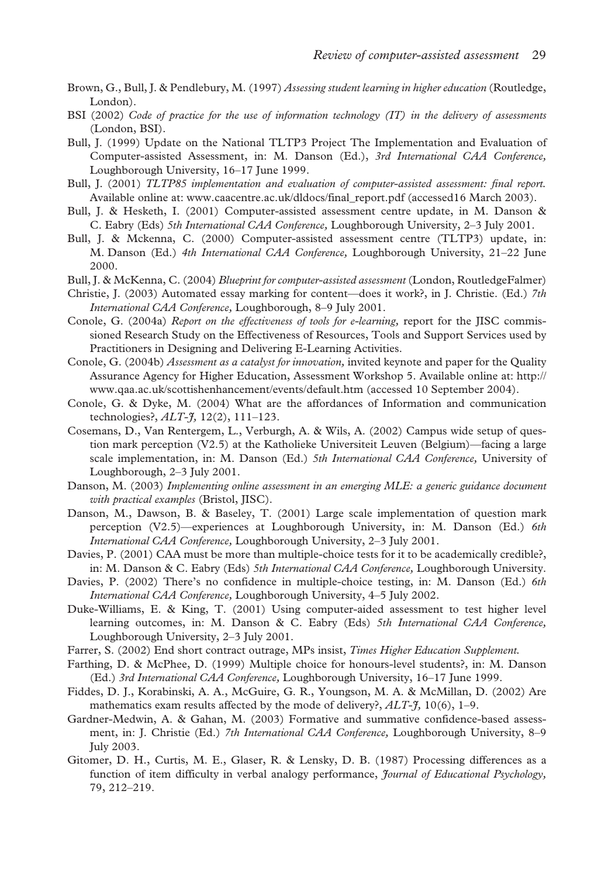- Brown, G., Bull, J. & Pendlebury, M. (1997) *Assessing student learning in higher education* (Routledge, London).
- BSI (2002) *Code of practice for the use of information technology (IT) in the delivery of assessments* (London, BSI).
- Bull, J. (1999) Update on the National TLTP3 Project The Implementation and Evaluation of Computer-assisted Assessment, in: M. Danson (Ed.), *3rd International CAA Conference,* Loughborough University, 16–17 June 1999.
- Bull, J. (2001) *TLTP85 implementation and evaluation of computer-assisted assessment: final report.* Available online at: www.caacentre.ac.uk/dldocs/final\_report.pdf (accessed16 March 2003).
- Bull, J. & Hesketh, I. (2001) Computer-assisted assessment centre update, in M. Danson & C. Eabry (Eds) *5th International CAA Conference,* Loughborough University, 2–3 July 2001.
- Bull, J. & Mckenna, C. (2000) Computer-assisted assessment centre (TLTP3) update, in: M. Danson (Ed.) *4th International CAA Conference,* Loughborough University, 21–22 June 2000.
- Bull, J. & McKenna, C. (2004) *Blueprint for computer-assisted assessment* (London, RoutledgeFalmer)
- Christie, J. (2003) Automated essay marking for content—does it work?, in J. Christie. (Ed.) *7th International CAA Conference,* Loughborough, 8–9 July 2001.
- Conole, G. (2004a) *Report on the effectiveness of tools for e-learning,* report for the JISC commissioned Research Study on the Effectiveness of Resources, Tools and Support Services used by Practitioners in Designing and Delivering E-Learning Activities.
- Conole, G. (2004b) *Assessment as a catalyst for innovation,* invited keynote and paper for the Quality Assurance Agency for Higher Education, Assessment Workshop 5. Available online at: http:// www.qaa.ac.uk/scottishenhancement/events/default.htm (accessed 10 September 2004).
- Conole, G. & Dyke, M. (2004) What are the affordances of Information and communication technologies?, *ALT-J,* 12(2), 111–123.
- Cosemans, D., Van Rentergem, L., Verburgh, A. & Wils, A. (2002) Campus wide setup of question mark perception (V2.5) at the Katholieke Universiteit Leuven (Belgium)—facing a large scale implementation, in: M. Danson (Ed.) *5th International CAA Conference,* University of Loughborough, 2–3 July 2001.
- Danson, M. (2003) *Implementing online assessment in an emerging MLE: a generic guidance document with practical examples* (Bristol, JISC).
- Danson, M., Dawson, B. & Baseley, T. (2001) Large scale implementation of question mark perception (V2.5)—experiences at Loughborough University, in: M. Danson (Ed.) *6th International CAA Conference,* Loughborough University, 2–3 July 2001.
- Davies, P. (2001) CAA must be more than multiple-choice tests for it to be academically credible?, in: M. Danson & C. Eabry (Eds) *5th International CAA Conference,* Loughborough University.
- Davies, P. (2002) There's no confidence in multiple-choice testing, in: M. Danson (Ed.) *6th International CAA Conference,* Loughborough University, 4–5 July 2002.
- Duke-Williams, E. & King, T. (2001) Using computer-aided assessment to test higher level learning outcomes, in: M. Danson & C. Eabry (Eds) *5th International CAA Conference,* Loughborough University, 2–3 July 2001.
- Farrer, S. (2002) End short contract outrage, MPs insist, *Times Higher Education Supplement.*
- Farthing, D. & McPhee, D. (1999) Multiple choice for honours-level students?, in: M. Danson (Ed.) *3rd International CAA Conference,* Loughborough University, 16–17 June 1999.
- Fiddes, D. J., Korabinski, A. A., McGuire, G. R., Youngson, M. A. & McMillan, D. (2002) Are mathematics exam results affected by the mode of delivery?, *ALT-J,* 10(6), 1–9.
- Gardner-Medwin, A. & Gahan, M. (2003) Formative and summative confidence-based assessment, in: J. Christie (Ed.) *7th International CAA Conference,* Loughborough University, 8–9 July 2003.
- Gitomer, D. H., Curtis, M. E., Glaser, R. & Lensky, D. B. (1987) Processing differences as a function of item difficulty in verbal analogy performance, *Journal of Educational Psychology,* 79, 212–219.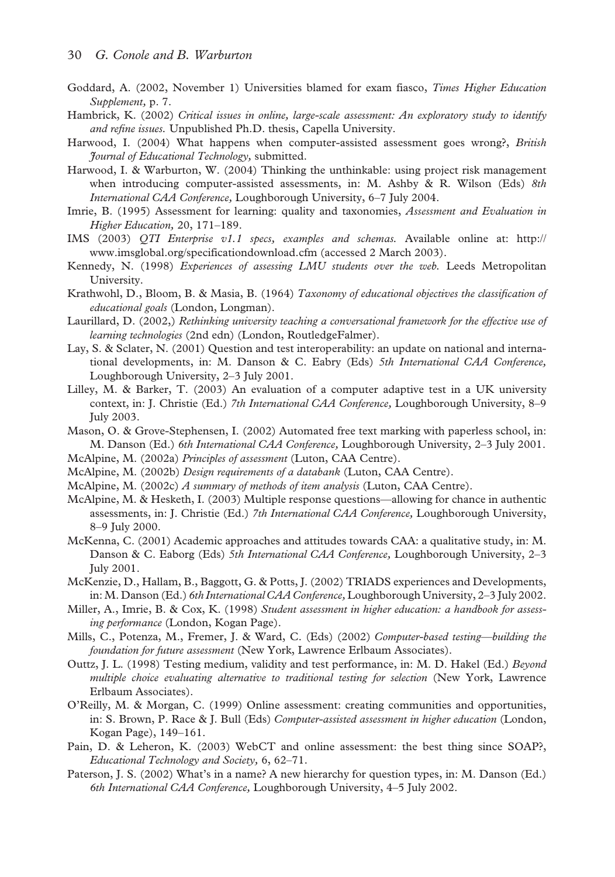- Goddard, A. (2002, November 1) Universities blamed for exam fiasco, *Times Higher Education Supplement,* p. 7.
- Hambrick, K. (2002) *Critical issues in online, large-scale assessment: An exploratory study to identify and refine issues.* Unpublished Ph.D. thesis, Capella University.
- Harwood, I. (2004) What happens when computer-assisted assessment goes wrong?, *British Journal of Educational Technology,* submitted.
- Harwood, I. & Warburton, W. (2004) Thinking the unthinkable: using project risk management when introducing computer-assisted assessments, in: M. Ashby & R. Wilson (Eds) *8th International CAA Conference,* Loughborough University, 6–7 July 2004.
- Imrie, B. (1995) Assessment for learning: quality and taxonomies, *Assessment and Evaluation in Higher Education,* 20, 171–189.
- IMS (2003) *QTI Enterprise v1.1 specs, examples and schemas.* Available online at: http:// www.imsglobal.org/specificationdownload.cfm (accessed 2 March 2003).
- Kennedy, N. (1998) *Experiences of assessing LMU students over the web.* Leeds Metropolitan University.
- Krathwohl, D., Bloom, B. & Masia, B. (1964) *Taxonomy of educational objectives the classification of educational goals* (London, Longman).
- Laurillard, D. (2002,) *Rethinking university teaching a conversational framework for the effective use of learning technologies* (2nd edn) (London, RoutledgeFalmer).
- Lay, S. & Sclater, N. (2001) Question and test interoperability: an update on national and international developments, in: M. Danson & C. Eabry (Eds) *5th International CAA Conference,* Loughborough University, 2–3 July 2001.
- Lilley, M. & Barker, T. (2003) An evaluation of a computer adaptive test in a UK university context, in: J. Christie (Ed.) *7th International CAA Conference,* Loughborough University, 8–9 July 2003.
- Mason, O. & Grove-Stephensen, I. (2002) Automated free text marking with paperless school, in: M. Danson (Ed.) *6th International CAA Conference,* Loughborough University, 2–3 July 2001.
- McAlpine, M. (2002a) *Principles of assessment* (Luton, CAA Centre).
- McAlpine, M. (2002b) *Design requirements of a databank* (Luton, CAA Centre).
- McAlpine, M. (2002c) *A summary of methods of item analysis* (Luton, CAA Centre).
- McAlpine, M. & Hesketh, I. (2003) Multiple response questions—allowing for chance in authentic assessments, in: J. Christie (Ed.) *7th International CAA Conference,* Loughborough University, 8–9 July 2000.
- McKenna, C. (2001) Academic approaches and attitudes towards CAA: a qualitative study, in: M. Danson & C. Eaborg (Eds) *5th International CAA Conference,* Loughborough University, 2–3 July 2001.
- McKenzie, D., Hallam, B., Baggott, G. & Potts, J. (2002) TRIADS experiences and Developments, in: M. Danson (Ed.) *6th International CAA Conference,*Loughborough University, 2–3 July 2002.
- Miller, A., Imrie, B. & Cox, K. (1998) *Student assessment in higher education: a handbook for assessing performance* (London, Kogan Page).
- Mills, C., Potenza, M., Fremer, J. & Ward, C. (Eds) (2002) *Computer-based testing—building the foundation for future assessment* (New York, Lawrence Erlbaum Associates).
- Outtz, J. L. (1998) Testing medium, validity and test performance, in: M. D. Hakel (Ed.) *Beyond multiple choice evaluating alternative to traditional testing for selection* (New York, Lawrence Erlbaum Associates).
- O'Reilly, M. & Morgan, C. (1999) Online assessment: creating communities and opportunities, in: S. Brown, P. Race & J. Bull (Eds) *Computer-assisted assessment in higher education* (London, Kogan Page), 149–161.
- Pain, D. & Leheron, K. (2003) WebCT and online assessment: the best thing since SOAP?, *Educational Technology and Society,* 6, 62–71.
- Paterson, J. S. (2002) What's in a name? A new hierarchy for question types, in: M. Danson (Ed.) *6th International CAA Conference,* Loughborough University, 4–5 July 2002.